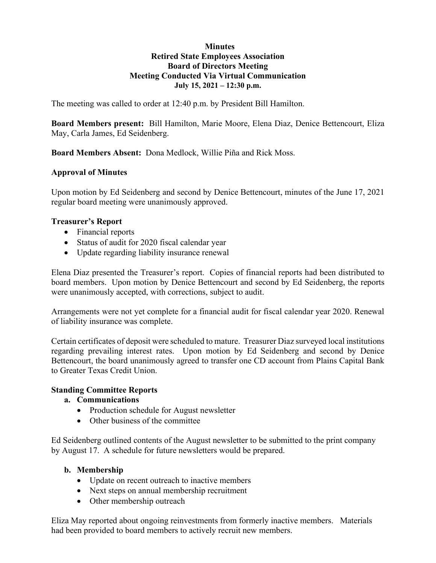#### **Minutes Retired State Employees Association Board of Directors Meeting Meeting Conducted Via Virtual Communication July 15, 2021 – 12:30 p.m.**

The meeting was called to order at 12:40 p.m. by President Bill Hamilton.

**Board Members present:** Bill Hamilton, Marie Moore, Elena Diaz, Denice Bettencourt, Eliza May, Carla James, Ed Seidenberg.

**Board Members Absent:** Dona Medlock, Willie Piña and Rick Moss.

#### **Approval of Minutes**

Upon motion by Ed Seidenberg and second by Denice Bettencourt, minutes of the June 17, 2021 regular board meeting were unanimously approved.

#### **Treasurer's Report**

- Financial reports
- Status of audit for 2020 fiscal calendar year
- Update regarding liability insurance renewal

Elena Diaz presented the Treasurer's report. Copies of financial reports had been distributed to board members. Upon motion by Denice Bettencourt and second by Ed Seidenberg, the reports were unanimously accepted, with corrections, subject to audit.

Arrangements were not yet complete for a financial audit for fiscal calendar year 2020. Renewal of liability insurance was complete.

Certain certificates of deposit were scheduled to mature. Treasurer Diaz surveyed local institutions regarding prevailing interest rates. Upon motion by Ed Seidenberg and second by Denice Bettencourt, the board unanimously agreed to transfer one CD account from Plains Capital Bank to Greater Texas Credit Union.

#### **Standing Committee Reports**

#### **a. Communications**

- Production schedule for August newsletter
- Other business of the committee

Ed Seidenberg outlined contents of the August newsletter to be submitted to the print company by August 17. A schedule for future newsletters would be prepared.

#### **b. Membership**

- Update on recent outreach to inactive members
- Next steps on annual membership recruitment
- Other membership outreach

Eliza May reported about ongoing reinvestments from formerly inactive members. Materials had been provided to board members to actively recruit new members.